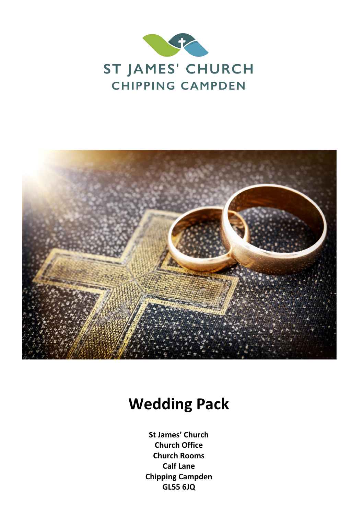



# **Wedding Pack**

**St James' Church Church Office Church Rooms Calf Lane Chipping Campden GL55 6JQ**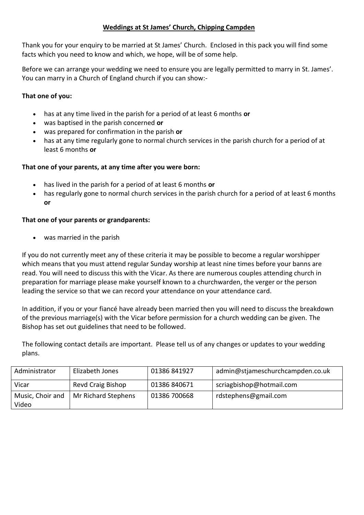# **Weddings at St James' Church, Chipping Campden**

Thank you for your enquiry to be married at St James' Church. Enclosed in this pack you will find some facts which you need to know and which, we hope, will be of some help.

Before we can arrange your wedding we need to ensure you are legally permitted to marry in St. James'. You can marry in a Church of England church if you can show:-

# **That one of you:**

- has at any time lived in the parish for a period of at least 6 months **or**
- was baptised in the parish concerned **or**
- was prepared for confirmation in the parish **or**
- has at any time regularly gone to normal church services in the parish church for a period of at least 6 months **or**

## **That one of your parents, at any time after you were born:**

- has lived in the parish for a period of at least 6 months **or**
- has regularly gone to normal church services in the parish church for a period of at least 6 months **or**

## **That one of your parents or grandparents:**

• was married in the parish

If you do not currently meet any of these criteria it may be possible to become a regular worshipper which means that you must attend regular Sunday worship at least nine times before your banns are read. You will need to discuss this with the Vicar. As there are numerous couples attending church in preparation for marriage please make yourself known to a churchwarden, the verger or the person leading the service so that we can record your attendance on your attendance card.

In addition, if you or your fiancé have already been married then you will need to discuss the breakdown of the previous marriage(s) with the Vicar before permission for a church wedding can be given. The Bishop has set out guidelines that need to be followed.

The following contact details are important. Please tell us of any changes or updates to your wedding plans.

| Administrator             | Elizabeth Jones     | 01386 841927 | admin@stjameschurchcampden.co.uk |
|---------------------------|---------------------|--------------|----------------------------------|
| Vicar                     | Revd Craig Bishop   | 01386 840671 | scriagbishop@hotmail.com         |
| Music, Choir and<br>Video | Mr Richard Stephens | 01386 700668 | rdstephens@gmail.com             |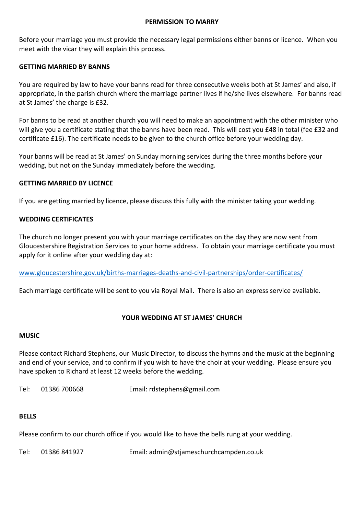#### **PERMISSION TO MARRY**

Before your marriage you must provide the necessary legal permissions either banns or licence. When you meet with the vicar they will explain this process.

# **GETTING MARRIED BY BANNS**

You are required by law to have your banns read for three consecutive weeks both at St James' and also, if appropriate, in the parish church where the marriage partner lives if he/she lives elsewhere. For banns read at St James' the charge is £32.

For banns to be read at another church you will need to make an appointment with the other minister who will give you a certificate stating that the banns have been read. This will cost you £48 in total (fee £32 and certificate £16). The certificate needs to be given to the church office before your wedding day.

Your banns will be read at St James' on Sunday morning services during the three months before your wedding, but not on the Sunday immediately before the wedding.

## **GETTING MARRIED BY LICENCE**

If you are getting married by licence, please discuss this fully with the minister taking your wedding.

# **WEDDING CERTIFICATES**

The church no longer present you with your marriage certificates on the day they are now sent from Gloucestershire Registration Services to your home address. To obtain your marriage certificate you must apply for it online after your wedding day at:

[www.gloucestershire.gov.uk/births-marriages-deaths-and-civil-partnerships/order-certificates/](http://www.gloucestershire.gov.uk/births-marriages-deaths-and-civil-partnerships/order-certificates/)

Each marriage certificate will be sent to you via Royal Mail. There is also an express service available.

# **YOUR WEDDING AT ST JAMES' CHURCH**

#### **MUSIC**

Please contact Richard Stephens, our Music Director, to discuss the hymns and the music at the beginning and end of your service, and to confirm if you wish to have the choir at your wedding. Please ensure you have spoken to Richard at least 12 weeks before the wedding.

Tel: 01386 700668 Email: rdstephens@gmail.com

#### **BELLS**

Please confirm to our church office if you would like to have the bells rung at your wedding.

Tel: 01386 841927 Email: admin@stjameschurchcampden.co.uk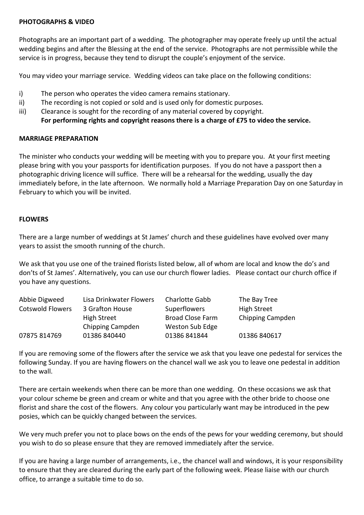#### **PHOTOGRAPHS & VIDEO**

Photographs are an important part of a wedding. The photographer may operate freely up until the actual wedding begins and after the Blessing at the end of the service. Photographs are not permissible while the service is in progress, because they tend to disrupt the couple's enjoyment of the service.

You may video your marriage service. Wedding videos can take place on the following conditions:

- i) The person who operates the video camera remains stationary.
- ii) The recording is not copied or sold and is used only for domestic purposes.
- iii) Clearance is sought for the recording of any material covered by copyright. **For performing rights and copyright reasons there is a charge of £75 to video the service.**

#### **MARRIAGE PREPARATION**

The minister who conducts your wedding will be meeting with you to prepare you. At your first meeting please bring with you your passports for identification purposes. If you do not have a passport then a photographic driving licence will suffice. There will be a rehearsal for the wedding, usually the day immediately before, in the late afternoon. We normally hold a Marriage Preparation Day on one Saturday in February to which you will be invited.

## **FLOWERS**

There are a large number of weddings at St James' church and these guidelines have evolved over many years to assist the smooth running of the church.

We ask that you use one of the trained florists listed below, all of whom are local and know the do's and don'ts of St James'. Alternatively, you can use our church flower ladies. Please contact our church office if you have any questions.

| Abbie Digweed           | Lisa Drinkwater Flowers | <b>Charlotte Gabb</b>   | The Bay Tree       |
|-------------------------|-------------------------|-------------------------|--------------------|
| <b>Cotswold Flowers</b> | 3 Grafton House         | Superflowers            | <b>High Street</b> |
|                         | <b>High Street</b>      | <b>Broad Close Farm</b> | Chipping Campden   |
|                         | Chipping Campden        | Weston Sub Edge         |                    |
| 07875 814769            | 01386 840440            | 01386 841844            | 01386 840617       |

If you are removing some of the flowers after the service we ask that you leave one pedestal for services the following Sunday. If you are having flowers on the chancel wall we ask you to leave one pedestal in addition to the wall.

There are certain weekends when there can be more than one wedding. On these occasions we ask that your colour scheme be green and cream or white and that you agree with the other bride to choose one florist and share the cost of the flowers. Any colour you particularly want may be introduced in the pew posies, which can be quickly changed between the services.

We very much prefer you not to place bows on the ends of the pews for your wedding ceremony, but should you wish to do so please ensure that they are removed immediately after the service.

If you are having a large number of arrangements, i.e., the chancel wall and windows, it is your responsibility to ensure that they are cleared during the early part of the following week. Please liaise with our church office, to arrange a suitable time to do so.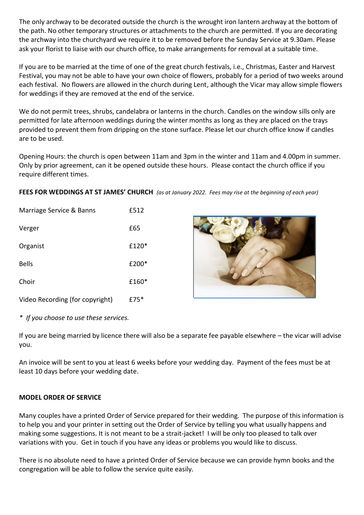The only archway to be decorated outside the church is the wrought iron lantern archway at the bottom of the path. No other temporary structures or attachments to the church are permitted. If you are decorating the archway into the churchyard we require it to be removed before the Sunday Service at 9.30am. Please ask your florist to liaise with our church office, to make arrangements for removal at a suitable time.

If you are to be married at the time of one of the great church festivals, i.e., Christmas, Easter and Harvest Festival, you may not be able to have your own choice of flowers, probably for a period of two weeks around each festival. No flowers are allowed in the church during Lent, although the Vicar may allow simple flowers for weddings if they are removed at the end of the service.

We do not permit trees, shrubs, candelabra or lanterns in the church. Candles on the window sills only are permitted for late afternoon weddings during the winter months as long as they are placed on the trays provided to prevent them from dripping on the stone surface. Please let our church office know if candles are to be used.

Opening Hours: the church is open between 11am and 3pm in the winter and 11am and 4.00pm in summer. Only by prior agreement, can it be opened outside these hours. Please contact the church office if you require different times.

**FEES FOR WEDDINGS AT ST JAMES' CHURCH** *(as at January 2022. Fees may rise at the beginning of each year)*

| Marriage Service & Banns        | £512  |
|---------------------------------|-------|
| Verger                          | £65   |
| Organist                        | £120* |
| <b>Bells</b>                    | £200* |
| Choir                           | £160* |
| Video Recording (for copyright) | £75*  |



*\* If you choose to use these services.*

If you are being married by licence there will also be a separate fee payable elsewhere – the vicar will advise you.

An invoice will be sent to you at least 6 weeks before your wedding day. Payment of the fees must be at least 10 days before your wedding date.

# **MODEL ORDER OF SERVICE**

Many couples have a printed Order of Service prepared for their wedding. The purpose of this information is to help you and your printer in setting out the Order of Service by telling you what usually happens and making some suggestions. It is not meant to be a strait-jacket! I will be only too pleased to talk over variations with you. Get in touch if you have any ideas or problems you would like to discuss.

There is no absolute need to have a printed Order of Service because we can provide hymn books and the congregation will be able to follow the service quite easily.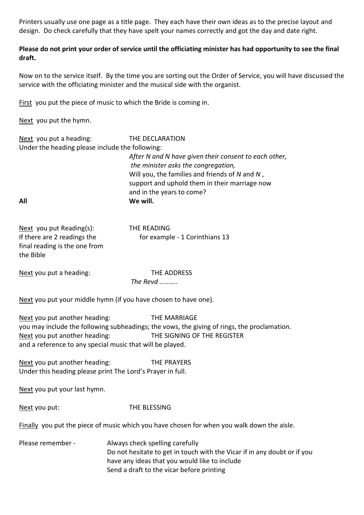Printers usually use one page as a title page. They each have their own ideas as to the precise layout and design. Do check carefully that they have spelt your names correctly and got the day and date right.

# **Please do not print your order of service until the officiating minister has had opportunity to see the final draft.**

Now on to the service itself. By the time you are sorting out the Order of Service, you will have discussed the service with the officiating minister and the musical side with the organist.

First you put the piece of music to which the Bride is coming in.

Next you put the hymn.

| Next you put a heading:                         | THE DECLARATION                                                                                      |
|-------------------------------------------------|------------------------------------------------------------------------------------------------------|
| Under the heading please include the following: |                                                                                                      |
|                                                 | After N and N have given their consent to each other,<br>the minister asks the congregation,         |
|                                                 | Will you, the families and friends of $N$ and $N$ ,<br>support and uphold them in their marriage now |
|                                                 | and in the years to come?                                                                            |
| All                                             | We will.                                                                                             |

| Next you put Reading(s):      | THE READING                    |
|-------------------------------|--------------------------------|
| If there are 2 readings the   | for example - 1 Corinthians 13 |
| final reading is the one from |                                |
| the Bible                     |                                |

Next you put a heading: THE ADDRESS

*The Revd ..........*

Next you put your middle hymn (if you have chosen to have one).

Next you put another heading: THE MARRIAGE you may include the following subheadings; the vows, the giving of rings, the proclamation. Next you put another heading: THE SIGNING OF THE REGISTER and a reference to any special music that will be played.

Next you put another heading: THE PRAYERS Under this heading please print The Lord's Prayer in full.

Next you put your last hymn.

Next you put: THE BLESSING

Finally you put the piece of music which you have chosen for when you walk down the aisle.

Please remember - Always check spelling carefully Do not hesitate to get in touch with the Vicar if in any doubt or if you have any ideas that you would like to include Send a draft to the vicar before printing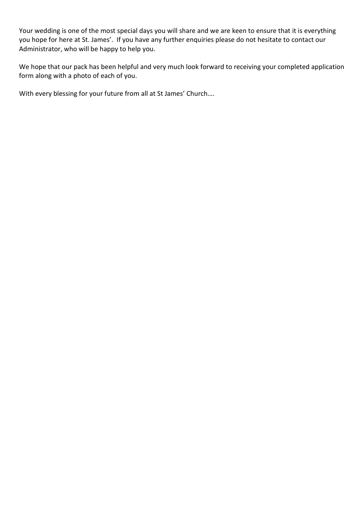Your wedding is one of the most special days you will share and we are keen to ensure that it is everything you hope for here at St. James'. If you have any further enquiries please do not hesitate to contact our Administrator, who will be happy to help you.

We hope that our pack has been helpful and very much look forward to receiving your completed application form along with a photo of each of you.

With every blessing for your future from all at St James' Church….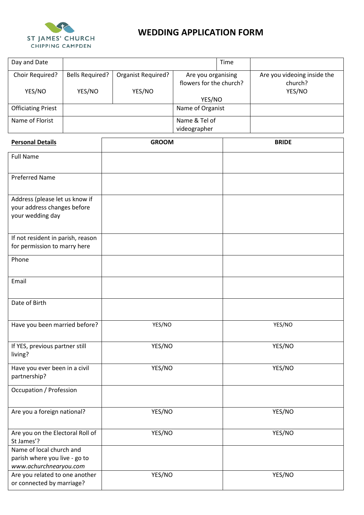

# **WEDDING APPLICATION FORM**

| Day and Date                                                |                        |                    |                                               | Time |                                        |  |
|-------------------------------------------------------------|------------------------|--------------------|-----------------------------------------------|------|----------------------------------------|--|
| Choir Required?                                             | <b>Bells Required?</b> | Organist Required? | Are you organising<br>flowers for the church? |      | Are you videoing inside the<br>church? |  |
| YES/NO                                                      | YES/NO                 | YES/NO             |                                               |      | YES/NO                                 |  |
| <b>Officiating Priest</b>                                   |                        |                    | YES/NO<br>Name of Organist                    |      |                                        |  |
| Name of Florist                                             |                        |                    | Name & Tel of                                 |      |                                        |  |
|                                                             |                        | videographer       |                                               |      |                                        |  |
| <b>Personal Details</b>                                     |                        | <b>GROOM</b>       |                                               |      | <b>BRIDE</b>                           |  |
| <b>Full Name</b>                                            |                        |                    |                                               |      |                                        |  |
| <b>Preferred Name</b>                                       |                        |                    |                                               |      |                                        |  |
| Address (please let us know if                              |                        |                    |                                               |      |                                        |  |
| your address changes before                                 |                        |                    |                                               |      |                                        |  |
| your wedding day                                            |                        |                    |                                               |      |                                        |  |
| If not resident in parish, reason                           |                        |                    |                                               |      |                                        |  |
| for permission to marry here                                |                        |                    |                                               |      |                                        |  |
| Phone                                                       |                        |                    |                                               |      |                                        |  |
| Email                                                       |                        |                    |                                               |      |                                        |  |
|                                                             |                        |                    |                                               |      |                                        |  |
| Date of Birth                                               |                        |                    |                                               |      |                                        |  |
| Have you been married before?                               |                        | YES/NO             |                                               |      | YES/NO                                 |  |
| If YES, previous partner still                              |                        | YES/NO             |                                               |      | YES/NO                                 |  |
| living?                                                     |                        |                    |                                               |      |                                        |  |
| Have you ever been in a civil<br>partnership?               |                        | YES/NO             |                                               |      | YES/NO                                 |  |
| <b>Occupation / Profession</b>                              |                        |                    |                                               |      |                                        |  |
| Are you a foreign national?                                 |                        | YES/NO             |                                               |      | YES/NO                                 |  |
| Are you on the Electoral Roll of                            |                        | YES/NO             |                                               |      | YES/NO                                 |  |
| St James'?<br>Name of local church and                      |                        |                    |                                               |      |                                        |  |
| parish where you live - go to                               |                        |                    |                                               |      |                                        |  |
| www.achurchnearyou.com                                      |                        |                    |                                               |      |                                        |  |
| Are you related to one another<br>or connected by marriage? |                        | YES/NO             |                                               |      | YES/NO                                 |  |